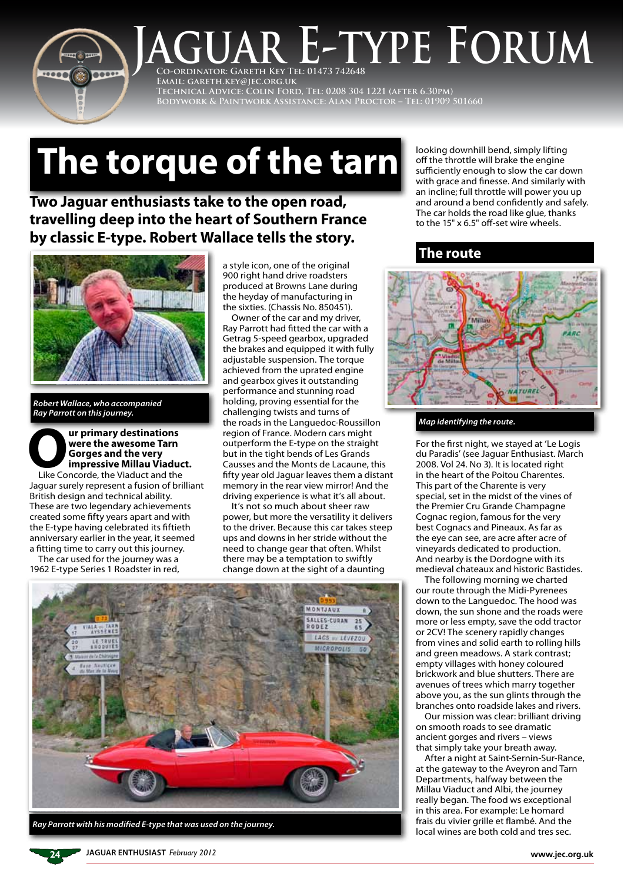

## **Co-ordinator: Gareth Key Tel: 01473 742648 JUAR E-TYPE FORUM**

**Email: gareth.key@jec.org.uk Technical Advice: Colin Ford, Tel: 0208 304 1221 (after 6.30pm) Bodywork & Paintwork Assistance: Alan Proctor – Tel: 01909 501660**

# **The torque of the tarn**

## **Two Jaguar enthusiasts take to the open road, travelling deep into the heart of Southern France by classic E-type. Robert Wallace tells the story.**



*Robert Wallace, who accompanied Ray Parrott on this journey.*

**Our primary destinations<br>
<b>Our primary destinations**<br> **Our pressive Millau Viaduct and the Viaduct and the Viaduct and the Viaduct and the Strate were the awesome Tarn Gorges and the very impressive Millau Viaduct.**

Jaguar surely represent a fusion of brilliant British design and technical ability. These are two legendary achievements created some fifty years apart and with the E-type having celebrated its fiftieth anniversary earlier in the year, it seemed a fitting time to carry out this journey.

The car used for the journey was a 1962 E-type Series 1 Roadster in red, a style icon, one of the original 900 right hand drive roadsters produced at Browns Lane during the heyday of manufacturing in the sixties. (Chassis No. 850451).

Owner of the car and my driver, Ray Parrott had fitted the car with a Getrag 5-speed gearbox, upgraded the brakes and equipped it with fully adjustable suspension. The torque achieved from the uprated engine and gearbox gives it outstanding performance and stunning road holding, proving essential for the challenging twists and turns of the roads in the Languedoc-Roussillon region of France. Modern cars might outperform the E-type on the straight but in the tight bends of Les Grands Causses and the Monts de Lacaune, this fifty year old Jaguar leaves them a distant memory in the rear view mirror! And the driving experience is what it's all about.

It's not so much about sheer raw power, but more the versatility it delivers to the driver. Because this car takes steep ups and downs in her stride without the need to change gear that often. Whilst there may be a temptation to swiftly change down at the sight of a daunting



*Ray Parrott with his modified E-type that was used on the journey.*

looking downhill bend, simply lifting off the throttle will brake the engine sufficiently enough to slow the car down with grace and finesse. And similarly with an incline; full throttle will power you up and around a bend confidently and safely. The car holds the road like glue, thanks to the 15" x 6.5" off-set wire wheels.

### **The route**



#### *Map identifying the route.*

For the first night, we stayed at 'Le Logis du Paradis' (see Jaguar Enthusiast. March 2008. Vol 24. No 3). It is located right in the heart of the Poitou Charentes. This part of the Charente is very special, set in the midst of the vines of the Premier Cru Grande Champagne Cognac region, famous for the very best Cognacs and Pineaux. As far as the eye can see, are acre after acre of vineyards dedicated to production. And nearby is the Dordogne with its medieval chateaux and historic Bastides.

The following morning we charted our route through the Midi-Pyrenees down to the Languedoc. The hood was down, the sun shone and the roads were more or less empty, save the odd tractor or 2CV! The scenery rapidly changes from vines and solid earth to rolling hills and green meadows. A stark contrast; empty villages with honey coloured brickwork and blue shutters. There are avenues of trees which marry together above you, as the sun glints through the branches onto roadside lakes and rivers.

Our mission was clear: brilliant driving on smooth roads to see dramatic ancient gorges and rivers – views that simply take your breath away.

After a night at Saint-Sernin-Sur-Rance, at the gateway to the Aveyron and Tarn Departments, halfway between the Millau Viaduct and Albi, the journey really began. The food ws exceptional in this area. For example: Le homard frais du vivier grille et flambé. And the local wines are both cold and tres sec.